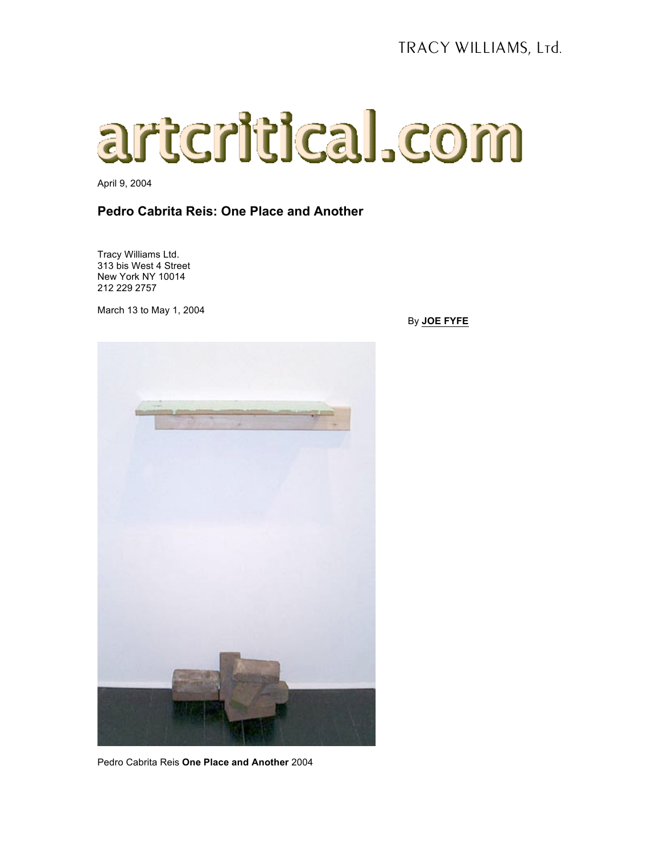## artcritical.com

April 9, 2004

## **Pedro Cabrita Reis: One Place and Another**

Tracy Williams Ltd. 313 bis West 4 Street New York NY 10014 212 229 2757

March 13 to May 1, 2004





Pedro Cabrita Reis **One Place and Another** 2004